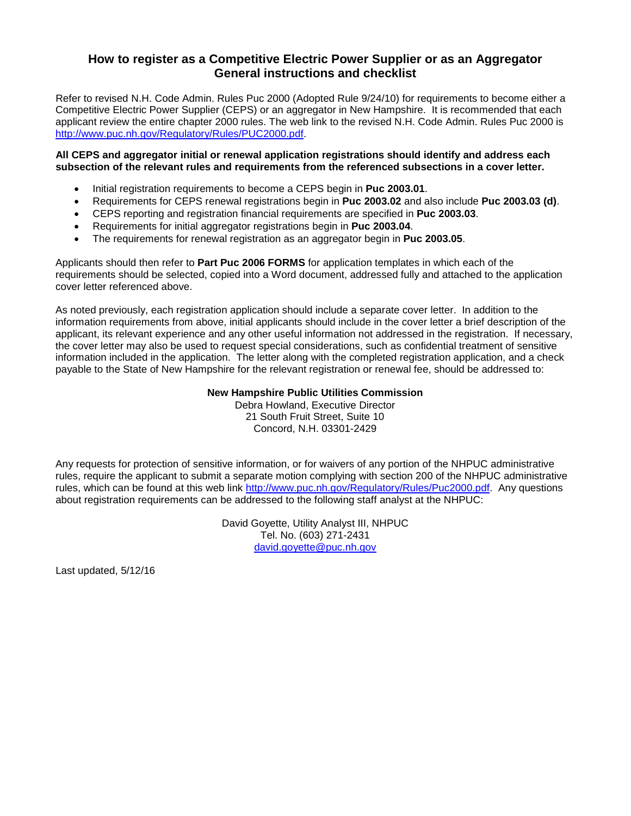## **How to register as a Competitive Electric Power Supplier or as an Aggregator General instructions and checklist**

Refer to revised N.H. Code Admin. Rules Puc 2000 (Adopted Rule 9/24/10) for requirements to become either a Competitive Electric Power Supplier (CEPS) or an aggregator in New Hampshire. It is recommended that each applicant review the entire chapter 2000 rules. The web link to the revised N.H. Code Admin. Rules Puc 2000 is [http://www.puc.nh.gov/Regulatory/Rules/PUC2000.pdf.](http://www.puc.nh.gov/Regulatory/Rules/PUC2000.pdf)

## **All CEPS and aggregator initial or renewal application registrations should identify and address each subsection of the relevant rules and requirements from the referenced subsections in a cover letter.**

- Initial registration requirements to become a CEPS begin in **Puc 2003.01**.
- Requirements for CEPS renewal registrations begin in **Puc 2003.02** and also include **Puc 2003.03 (d)**.
- CEPS reporting and registration financial requirements are specified in **Puc 2003.03**.
- Requirements for initial aggregator registrations begin in **Puc 2003.04**.
- The requirements for renewal registration as an aggregator begin in **Puc 2003.05**.

Applicants should then refer to **Part Puc 2006 FORMS** for application templates in which each of the requirements should be selected, copied into a Word document, addressed fully and attached to the application cover letter referenced above.

As noted previously, each registration application should include a separate cover letter. In addition to the information requirements from above, initial applicants should include in the cover letter a brief description of the applicant, its relevant experience and any other useful information not addressed in the registration. If necessary, the cover letter may also be used to request special considerations, such as confidential treatment of sensitive information included in the application. The letter along with the completed registration application, and a check payable to the State of New Hampshire for the relevant registration or renewal fee, should be addressed to:

## **New Hampshire Public Utilities Commission**

Debra Howland, Executive Director 21 South Fruit Street, Suite 10 Concord, N.H. 03301-2429

Any requests for protection of sensitive information, or for waivers of any portion of the NHPUC administrative rules, require the applicant to submit a separate motion complying with section 200 of the NHPUC administrative rules, which can be found at this web link [http://www.puc.nh.gov/Regulatory/Rules/Puc2000.pdf.](http://www.puc.nh.gov/Regulatory/Rules/Puc2000.pdf) Any questions about registration requirements can be addressed to the following staff analyst at the NHPUC:

> David Goyette, Utility Analyst III, NHPUC Tel. No. (603) 271-2431 [david.goyette@puc.nh.gov](mailto:david.goyette@puc.nh.gov)

Last updated, 5/12/16